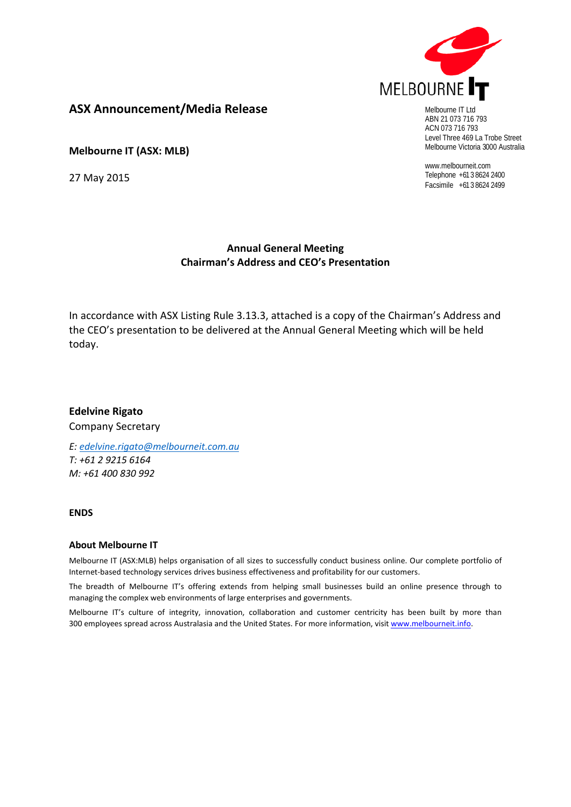

Melbourne IT Ltd ABN 21 073 716 793 ACN 073 716 793 Level Three 469 La Trobe Street Melbourne Victoria 3000 Australia

www.melbourneit.com Telephone +61 3 8624 2400 Facsimile +61 3 8624 2499

#### **ASX Announcement/Media Release**

**Melbourne IT (ASX: MLB)**

27 May 2015

#### **Annual General Meeting Chairman's Address and CEO's Presentation**

In accordance with ASX Listing Rule 3.13.3, attached is a copy of the Chairman's Address and the CEO's presentation to be delivered at the Annual General Meeting which will be held today.

**Edelvine Rigato** Company Secretary

*E: [edelvine.rigato@melbourneit.com.au](mailto:edelvine.rigato@melbourneit.com.au) T: +61 2 9215 6164 M: +61 400 830 992*

**ENDS**

#### **About Melbourne IT**

Melbourne IT (ASX:MLB) helps organisation of all sizes to successfully conduct business online. Our complete portfolio of Internet-based technology services drives business effectiveness and profitability for our customers.

The breadth of Melbourne IT's offering extends from helping small businesses build an online presence through to managing the complex web environments of large enterprises and governments.

Melbourne IT's culture of integrity, innovation, collaboration and customer centricity has been built by more than 300 employees spread across Australasia and the United States. For more information, visi[t www.melbourneit.info.](http://www.melbourneit.info/)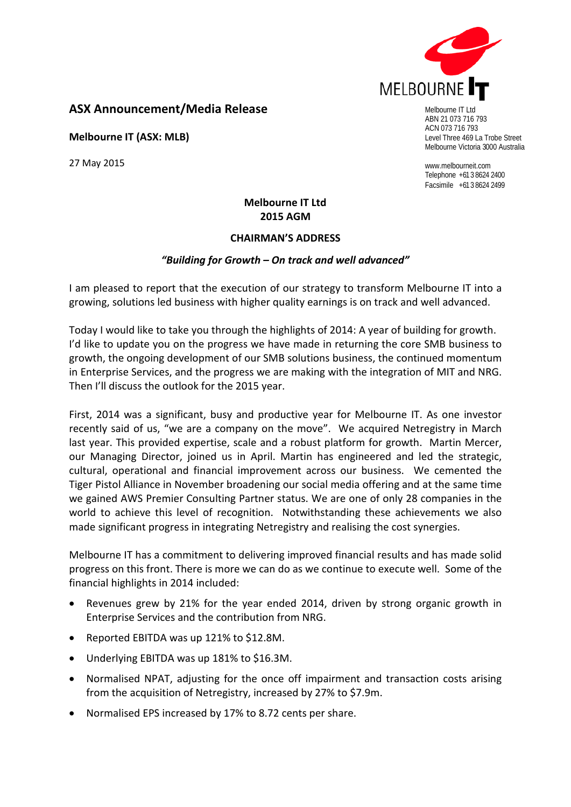

#### **ASX Announcement/Media Release**

**Melbourne IT (ASX: MLB)**

27 May 2015

Melbourne IT Ltd ABN 21 073 716 793 ACN 073 716 793 Level Three 469 La Trobe Street Melbourne Victoria 3000 Australia

www.melbourneit.com Telephone +61 3 8624 2400 Facsimile +61 3 8624 2499

#### **Melbourne IT Ltd 2015 AGM**

#### **CHAIRMAN'S ADDRESS**

#### *"Building for Growth – On track and well advanced"*

I am pleased to report that the execution of our strategy to transform Melbourne IT into a growing, solutions led business with higher quality earnings is on track and well advanced.

Today I would like to take you through the highlights of 2014: A year of building for growth. I'd like to update you on the progress we have made in returning the core SMB business to growth, the ongoing development of our SMB solutions business, the continued momentum in Enterprise Services, and the progress we are making with the integration of MIT and NRG. Then I'll discuss the outlook for the 2015 year.

First, 2014 was a significant, busy and productive year for Melbourne IT. As one investor recently said of us, "we are a company on the move". We acquired Netregistry in March last year. This provided expertise, scale and a robust platform for growth. Martin Mercer, our Managing Director, joined us in April. Martin has engineered and led the strategic, cultural, operational and financial improvement across our business. We cemented the Tiger Pistol Alliance in November broadening our social media offering and at the same time we gained AWS Premier Consulting Partner status. We are one of only 28 companies in the world to achieve this level of recognition. Notwithstanding these achievements we also made significant progress in integrating Netregistry and realising the cost synergies.

Melbourne IT has a commitment to delivering improved financial results and has made solid progress on this front. There is more we can do as we continue to execute well. Some of the financial highlights in 2014 included:

- Revenues grew by 21% for the year ended 2014, driven by strong organic growth in Enterprise Services and the contribution from NRG.
- Reported EBITDA was up 121% to \$12.8M.
- Underlying EBITDA was up 181% to \$16.3M.
- Normalised NPAT, adjusting for the once off impairment and transaction costs arising from the acquisition of Netregistry, increased by 27% to \$7.9m.
- Normalised EPS increased by 17% to 8.72 cents per share.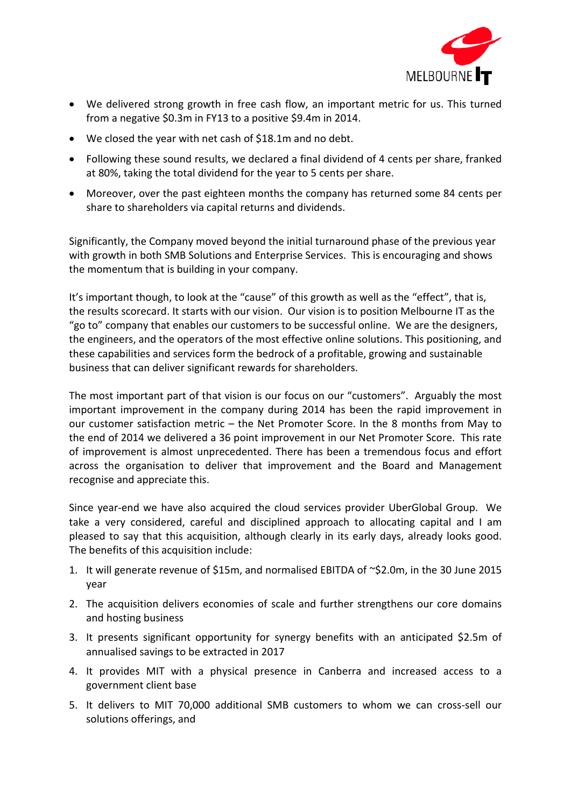

- We delivered strong growth in free cash flow, an important metric for us. This turned from a negative \$0.3m in FY13 to a positive \$9.4m in 2014.
- We closed the year with net cash of \$18.1m and no debt.
- Following these sound results, we declared a final dividend of 4 cents per share, franked at 80%, taking the total dividend for the year to 5 cents per share.
- Moreover, over the past eighteen months the company has returned some 84 cents per share to shareholders via capital returns and dividends.

Significantly, the Company moved beyond the initial turnaround phase of the previous year with growth in both SMB Solutions and Enterprise Services. This is encouraging and shows the momentum that is building in your company.

It's important though, to look at the "cause" of this growth as well as the "effect", that is, the results scorecard. It starts with our vision. Our vision is to position Melbourne IT as the "go to" company that enables our customers to be successful online. We are the designers, the engineers, and the operators of the most effective online solutions. This positioning, and these capabilities and services form the bedrock of a profitable, growing and sustainable business that can deliver significant rewards for shareholders.

The most important part of that vision is our focus on our "customers". Arguably the most important improvement in the company during 2014 has been the rapid improvement in our customer satisfaction metric – the Net Promoter Score. In the 8 months from May to the end of 2014 we delivered a 36 point improvement in our Net Promoter Score. This rate of improvement is almost unprecedented. There has been a tremendous focus and effort across the organisation to deliver that improvement and the Board and Management recognise and appreciate this.

Since year-end we have also acquired the cloud services provider UberGlobal Group. We take a very considered, careful and disciplined approach to allocating capital and I am pleased to say that this acquisition, although clearly in its early days, already looks good. The benefits of this acquisition include:

- 1. It will generate revenue of \$15m, and normalised EBITDA of ~\$2.0m, in the 30 June 2015 year
- 2. The acquisition delivers economies of scale and further strengthens our core domains and hosting business
- 3. It presents significant opportunity for synergy benefits with an anticipated \$2.5m of annualised savings to be extracted in 2017
- 4. It provides MIT with a physical presence in Canberra and increased access to a government client base
- 5. It delivers to MIT 70,000 additional SMB customers to whom we can cross-sell our solutions offerings, and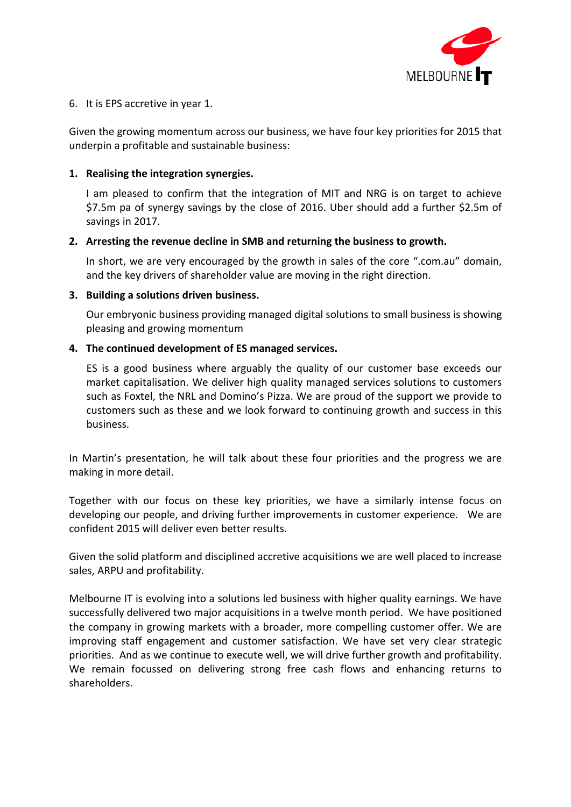

#### 6. It is EPS accretive in year 1.

Given the growing momentum across our business, we have four key priorities for 2015 that underpin a profitable and sustainable business:

#### **1. Realising the integration synergies.**

I am pleased to confirm that the integration of MIT and NRG is on target to achieve \$7.5m pa of synergy savings by the close of 2016. Uber should add a further \$2.5m of savings in 2017.

#### **2. Arresting the revenue decline in SMB and returning the business to growth.**

In short, we are very encouraged by the growth in sales of the core ".com.au" domain, and the key drivers of shareholder value are moving in the right direction.

#### **3. Building a solutions driven business.**

Our embryonic business providing managed digital solutions to small business is showing pleasing and growing momentum

#### **4. The continued development of ES managed services.**

ES is a good business where arguably the quality of our customer base exceeds our market capitalisation. We deliver high quality managed services solutions to customers such as Foxtel, the NRL and Domino's Pizza. We are proud of the support we provide to customers such as these and we look forward to continuing growth and success in this business.

In Martin's presentation, he will talk about these four priorities and the progress we are making in more detail.

Together with our focus on these key priorities, we have a similarly intense focus on developing our people, and driving further improvements in customer experience. We are confident 2015 will deliver even better results.

Given the solid platform and disciplined accretive acquisitions we are well placed to increase sales, ARPU and profitability.

Melbourne IT is evolving into a solutions led business with higher quality earnings. We have successfully delivered two major acquisitions in a twelve month period. We have positioned the company in growing markets with a broader, more compelling customer offer. We are improving staff engagement and customer satisfaction. We have set very clear strategic priorities. And as we continue to execute well, we will drive further growth and profitability. We remain focussed on delivering strong free cash flows and enhancing returns to shareholders.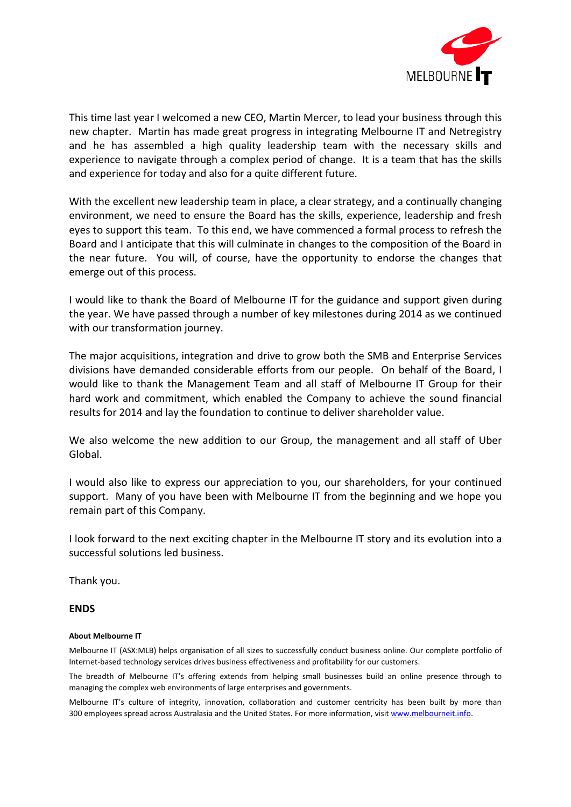

This time last year I welcomed a new CEO, Martin Mercer, to lead your business through this new chapter. Martin has made great progress in integrating Melbourne IT and Netregistry and he has assembled a high quality leadership team with the necessary skills and experience to navigate through a complex period of change. It is a team that has the skills and experience for today and also for a quite different future.

With the excellent new leadership team in place, a clear strategy, and a continually changing environment, we need to ensure the Board has the skills, experience, leadership and fresh eyes to support this team. To this end, we have commenced a formal process to refresh the Board and I anticipate that this will culminate in changes to the composition of the Board in the near future. You will, of course, have the opportunity to endorse the changes that emerge out of this process.

I would like to thank the Board of Melbourne IT for the guidance and support given during the year. We have passed through a number of key milestones during 2014 as we continued with our transformation journey.

The major acquisitions, integration and drive to grow both the SMB and Enterprise Services divisions have demanded considerable efforts from our people. On behalf of the Board, I would like to thank the Management Team and all staff of Melbourne IT Group for their hard work and commitment, which enabled the Company to achieve the sound financial results for 2014 and lay the foundation to continue to deliver shareholder value.

We also welcome the new addition to our Group, the management and all staff of Uber Global.

I would also like to express our appreciation to you, our shareholders, for your continued support. Many of you have been with Melbourne IT from the beginning and we hope you remain part of this Company.

I look forward to the next exciting chapter in the Melbourne IT story and its evolution into a successful solutions led business.

Thank you.

#### **ENDS**

#### **About Melbourne IT**

Melbourne IT (ASX:MLB) helps organisation of all sizes to successfully conduct business online. Our complete portfolio of Internet-based technology services drives business effectiveness and profitability for our customers.

The breadth of Melbourne IT's offering extends from helping small businesses build an online presence through to managing the complex web environments of large enterprises and governments.

Melbourne IT's culture of integrity, innovation, collaboration and customer centricity has been built by more than 300 employees spread across Australasia and the United States. For more information, visi[t www.melbourneit.info.](http://www.melbourneit.info/)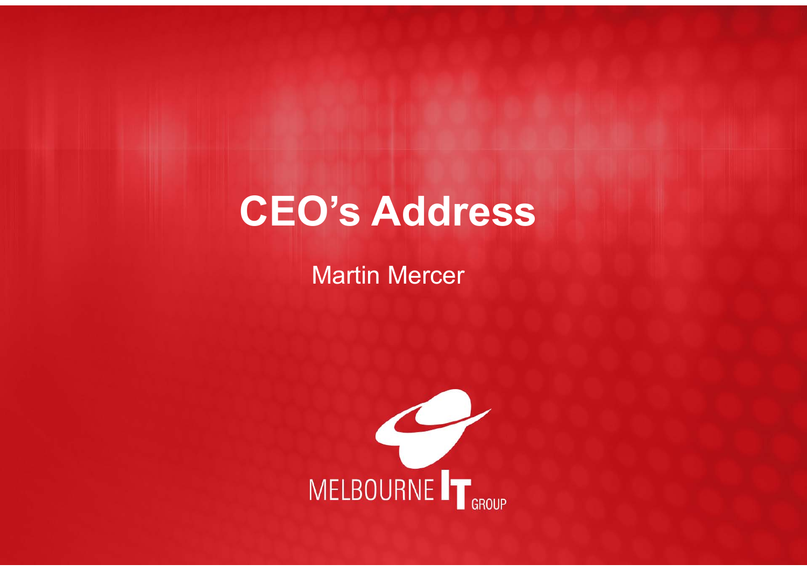# **CEO's Address**

## Martin Mercer

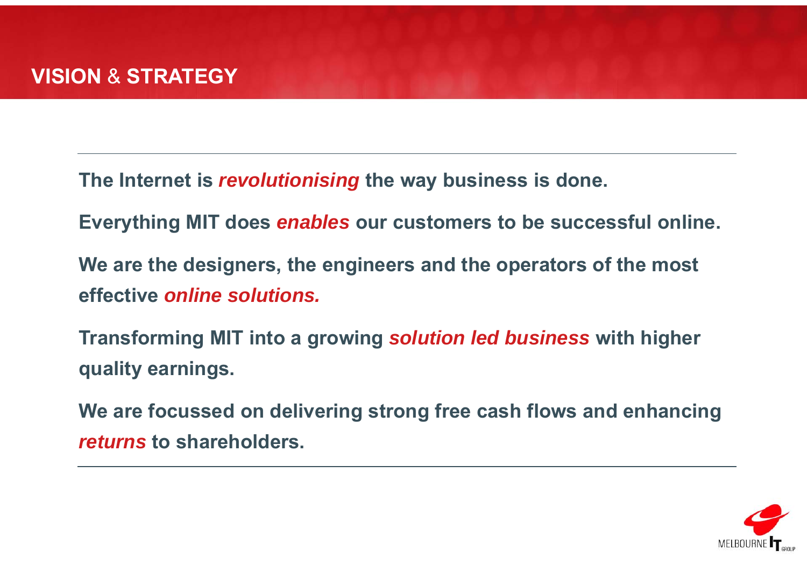**The Internet is** *revolutionising* **the way business is done.**

**Everything MIT does** *enables* **our customers to be successful online.**

**We are the designers, the engineers and the operators of the most effective** *online solutions.* 

**Transforming MIT into a growing** *solution led business* **with higher quality earnings.**

**We are focussed on delivering strong free cash flows and enhancing**  *returns* **to shareholders.**

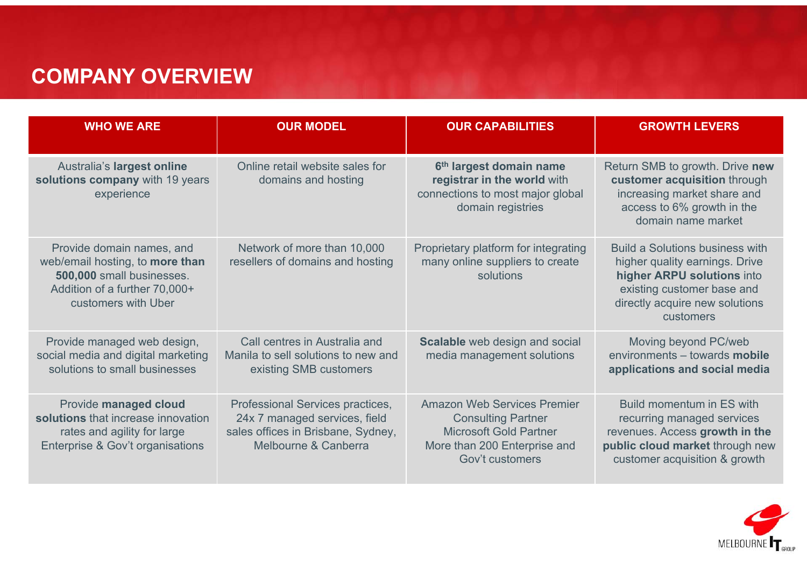### **COMPANY OVERVIEW**

| <b>WHO WE ARE</b>                                                                                                                                 | <b>OUR MODEL</b>                                                                                                                | <b>OUR CAPABILITIES</b>                                                                                                                             | <b>GROWTH LEVERS</b>                                                                                                                                                                |
|---------------------------------------------------------------------------------------------------------------------------------------------------|---------------------------------------------------------------------------------------------------------------------------------|-----------------------------------------------------------------------------------------------------------------------------------------------------|-------------------------------------------------------------------------------------------------------------------------------------------------------------------------------------|
| Australia's largest online<br>solutions company with 19 years<br>experience                                                                       | Online retail website sales for<br>domains and hosting                                                                          | 6 <sup>th</sup> largest domain name<br>registrar in the world with<br>connections to most major global<br>domain registries                         | Return SMB to growth. Drive new<br>customer acquisition through<br>increasing market share and<br>access to 6% growth in the<br>domain name market                                  |
| Provide domain names, and<br>web/email hosting, to more than<br>500,000 small businesses.<br>Addition of a further 70,000+<br>customers with Uber | Network of more than 10,000<br>resellers of domains and hosting                                                                 | Proprietary platform for integrating<br>many online suppliers to create<br>solutions                                                                | <b>Build a Solutions business with</b><br>higher quality earnings. Drive<br>higher ARPU solutions into<br>existing customer base and<br>directly acquire new solutions<br>customers |
| Provide managed web design,<br>social media and digital marketing<br>solutions to small businesses                                                | Call centres in Australia and<br>Manila to sell solutions to new and<br>existing SMB customers                                  | Scalable web design and social<br>media management solutions                                                                                        | Moving beyond PC/web<br>environments - towards mobile<br>applications and social media                                                                                              |
| Provide managed cloud<br>solutions that increase innovation<br>rates and agility for large<br>Enterprise & Gov't organisations                    | Professional Services practices,<br>24x 7 managed services, field<br>sales offices in Brisbane, Sydney,<br>Melbourne & Canberra | <b>Amazon Web Services Premier</b><br><b>Consulting Partner</b><br><b>Microsoft Gold Partner</b><br>More than 200 Enterprise and<br>Gov't customers | Build momentum in ES with<br>recurring managed services<br>revenues. Access growth in the<br>public cloud market through new<br>customer acquisition & growth                       |

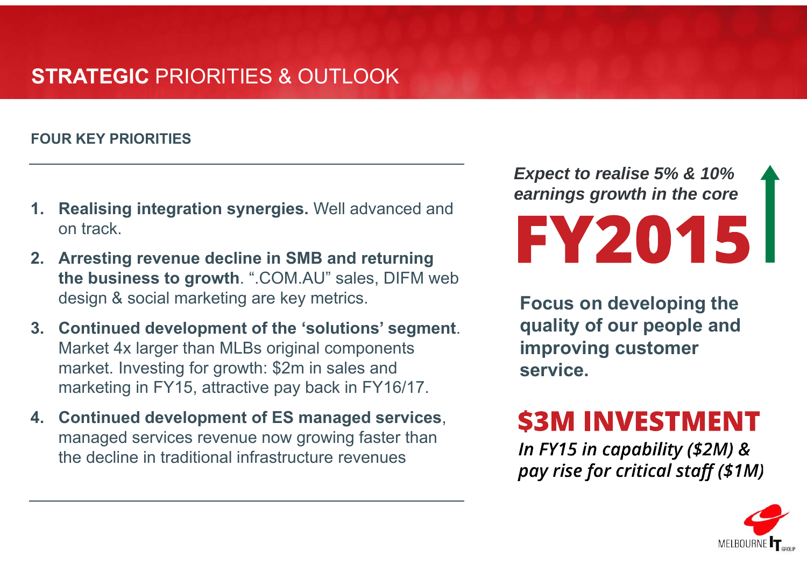### **STRATEGIC** PRIORITIES & OUTLOOK

### **FOUR KEY PRIORITIES**

- **1. Realising integration synergies.** Well advanced and on track.
- **2. Arresting revenue decline in SMB and returning the business to growth**. ".COM.AU" sales, DIFM web design & social marketing are key metrics.
- **3. Continued development of the 'solutions' segment**. Market 4x larger than MLBs original components market. Investing for growth: \$2m in sales and marketing in FY15, attractive pay back in FY16/17.
- **4. Continued development of ES managed services**, managed services revenue now growing faster than the decline in traditional infrastructure revenues

*Expect to realise 5% & 10% earnings growth in the core*FY2015

**Focus on developing the quality of our people and improving customer service.**

## **\$3M INVESTMENT**

In FY15 in capability (\$2M) & pay rise for critical staff (\$1M)

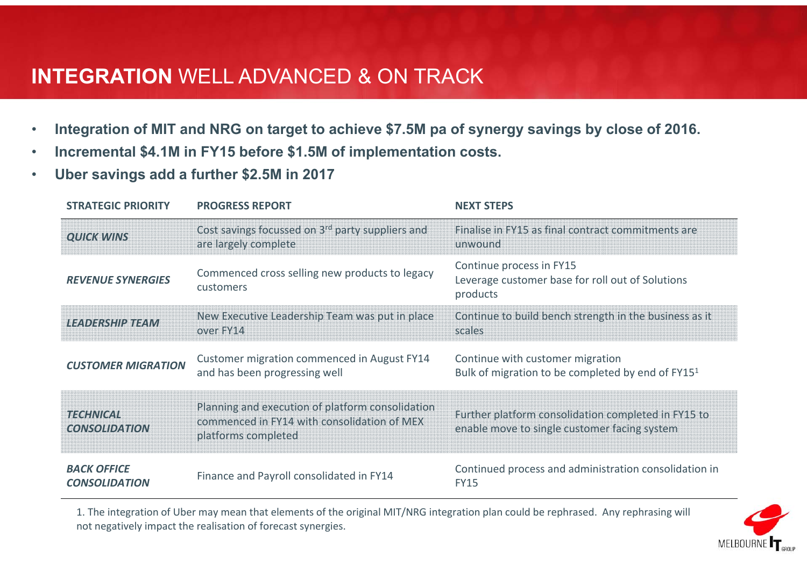### **INTEGRATION** WELL ADVANCED & ON TRACK

- •**Integration of MIT and NRG on target to achieve \$7.5M pa of synergy savings by close of 2016.**
- •**Incremental \$4.1M in FY15 before \$1.5M of implementation costs.**
- •**Uber savings add a further \$2.5M in 2017**

| <b>STRATEGIC PRIORITY</b>                  | <b>PROGRESS REPORT</b>                                                                                                 | <b>NEXT STEPS</b>                                                                                   |
|--------------------------------------------|------------------------------------------------------------------------------------------------------------------------|-----------------------------------------------------------------------------------------------------|
| <b>QUICK WINS</b>                          | Cost savings focussed on 3 <sup>rd</sup> party suppliers and<br>are largely complete                                   | Finalise in FY15 as final contract commitments are<br>unwound                                       |
| <b>REVENUE SYNERGIES</b>                   | Commenced cross selling new products to legacy<br>customers                                                            | Continue process in FY15<br>Leverage customer base for roll out of Solutions<br>products            |
| <b>LEADERSHIP TEAM</b>                     | New Executive Leadership Team was put in place<br>over FY14                                                            | Continue to build bench strength in the business as it<br>scales                                    |
| <b>CUSTOMER MIGRATION</b>                  | Customer migration commenced in August FY14<br>and has been progressing well                                           | Continue with customer migration<br>Bulk of migration to be completed by end of FY15 <sup>1</sup>   |
| <b>TECHNICAL</b><br><b>CONSOLIDATION</b>   | Planning and execution of platform consolidation<br>commenced in FY14 with consolidation of MEX<br>platforms completed | Further platform consolidation completed in FY15 to<br>enable move to single customer facing system |
| <b>BACK OFFICE</b><br><b>CONSOLIDATION</b> | Finance and Payroll consolidated in FY14                                                                               | Continued process and administration consolidation in<br><b>FY15</b>                                |

1. The integration of Uber may mean that elements of the original MIT/NRG integration plan could be rephrased. Any rephrasing will not negatively impact the realisation of forecast synergies.

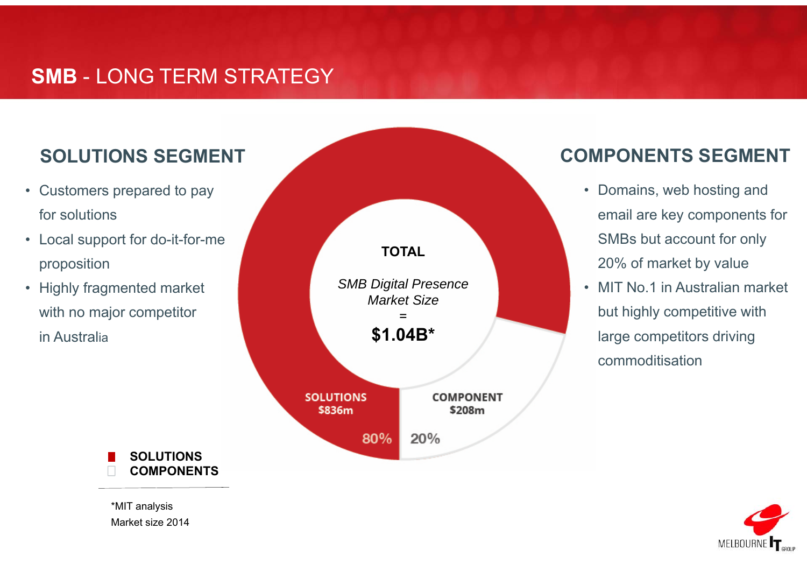### **SMB** - LONG TERM STRATEGY

### **SOLUTIONS SEGMENT**

- Customers prepared to pay for solutions
- Local support for do-it-for-me proposition
- Highly fragmented market with no major competitor in Australia



### **COMPONENTS SEGMENT**

- Domains, web hosting and email are key components for SMBs but account for only 20% of market by value
- MIT No.1 in Australian market but highly competitive with large competitors driving commoditisation



**SOLUTIONSCOMPONENTS**

\*MIT analysis Market size 2014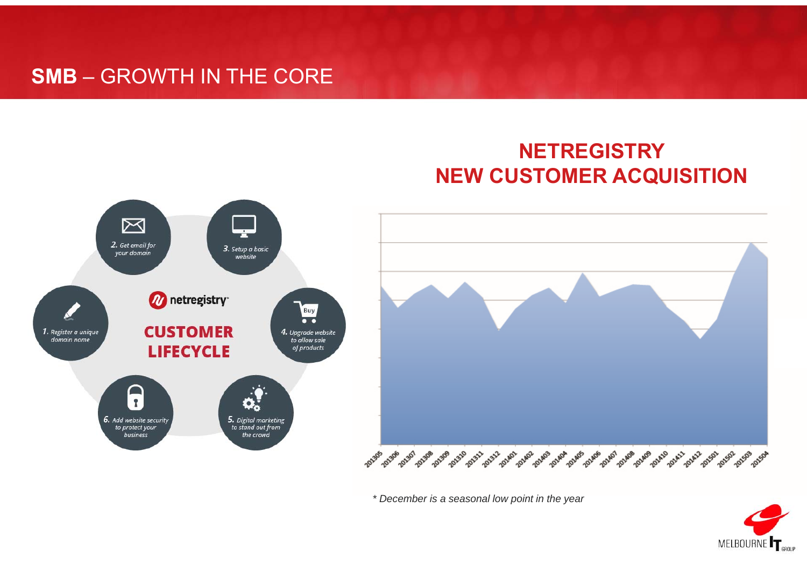### **SMB** – GROWTH IN THE CORE

### **NETREGISTRY NEW CUSTOMER ACQUISITION**





*\* December is a seasonal low point in the year*

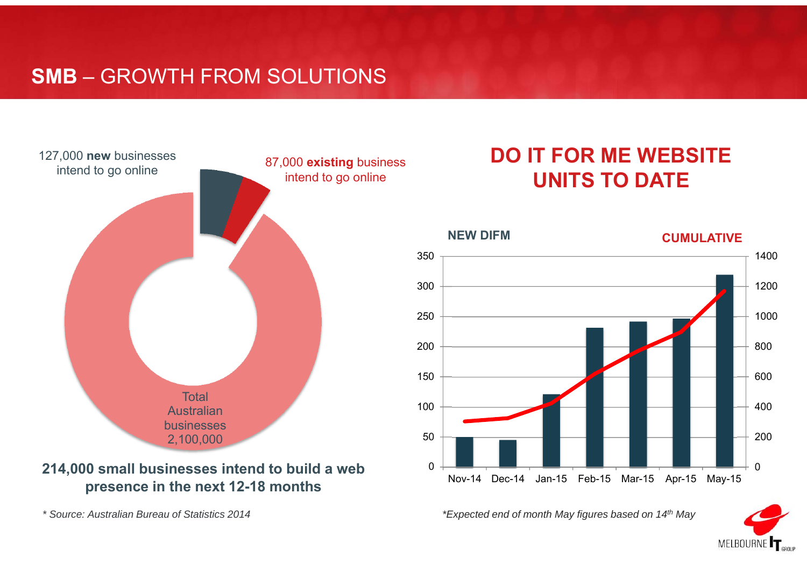### **SMB** – GROWTH FROM SOLUTIONS



### **214,000 small businesses intend to build a web presence in the next 12-18 months**

*\* Source: Australian Bureau of Statistics 2014*

### **DO IT FOR ME WEBSITE UNITS TO DATE**



*\*Expected end of month May figures based on 14th May*

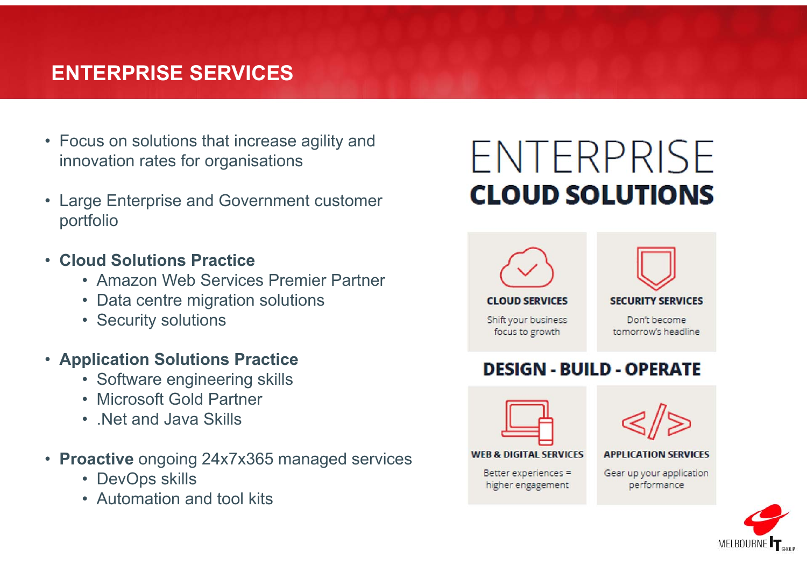### **ENTERPRISE SERVICES**

- Focus on solutions that increase agility and innovation rates for organisations
- Large Enterprise and Government customer portfolio
- **Cloud Solutions Practice**
	- Amazon Web Services Premier Partner
	- Data centre migration solutions
	- Security solutions
- **Application Solutions Practice**
	- Software engineering skills
	- Microsoft Gold Partner
	- .Net and Java Skills
- **Proactive** ongoing 24x7x365 managed services
	- DevOps skills
	- Automation and tool kits

# ENTERPRISE **CLOUD SOLUTIONS**



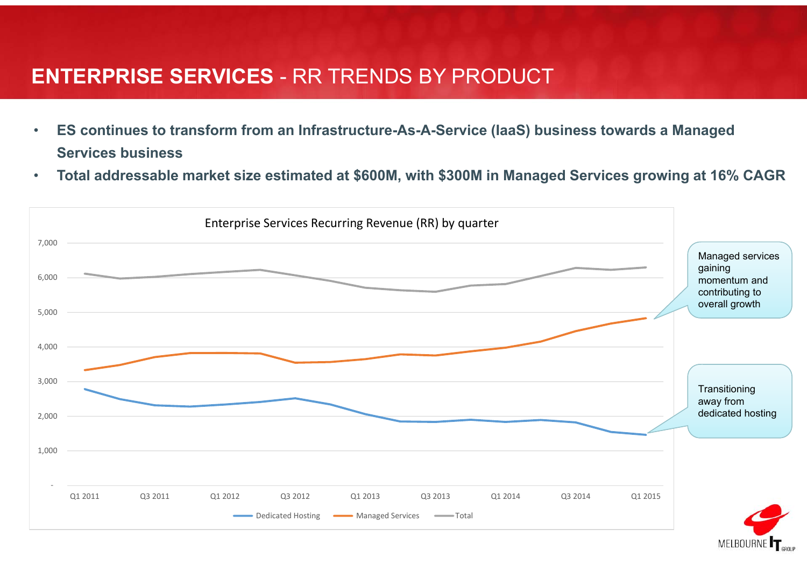### **ENTERPRISE SERVICES** - RR TRENDS BY PRODUCT

- • **ES continues to transform from an Infrastructure-As-A-Service (IaaS) business towards a Managed Services business**
- •**Total addressable market size estimated at \$600M, with \$300M in Managed Services growing at 16% CAGR**